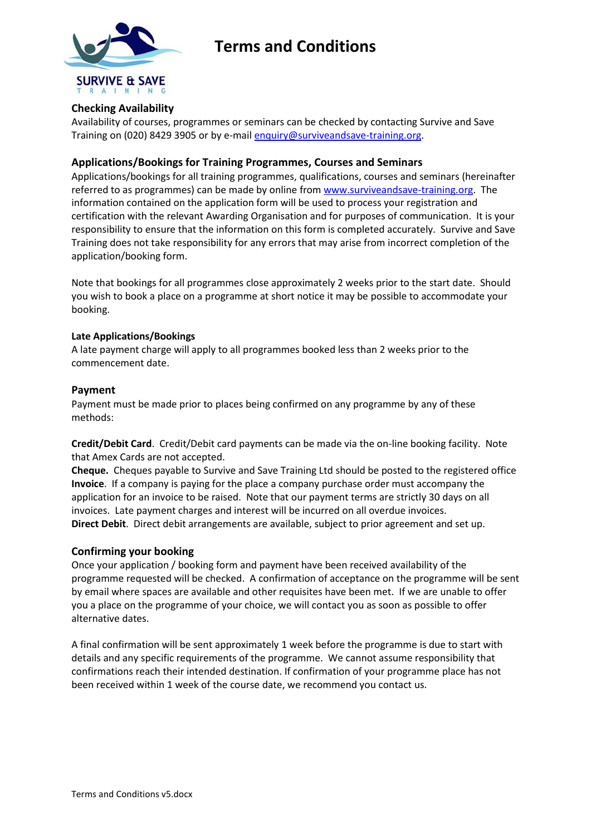

# **Terms and Conditions**

## **Checking Availability**

Availability of courses, programmes or seminars can be checked by contacting Survive and Save Training on (020) 8429 3905 or by e-mail [enquiry@surviveandsave-training.org.](mailto:enquiry@surviveandsave-training.org)

### **Applications/Bookings for Training Programmes, Courses and Seminars**

Applications/bookings for all training programmes, qualifications, courses and seminars (hereinafter referred to as programmes) can be made by online from [www.surviveandsave-training.org.](http://www.surviveandsave-training.org/) The information contained on the application form will be used to process your registration and certification with the relevant Awarding Organisation and for purposes of communication. It is your responsibility to ensure that the information on this form is completed accurately. Survive and Save Training does not take responsibility for any errors that may arise from incorrect completion of the application/booking form.

Note that bookings for all programmes close approximately 2 weeks prior to the start date. Should you wish to book a place on a programme at short notice it may be possible to accommodate your booking.

#### **Late Applications/Bookings**

A late payment charge will apply to all programmes booked less than 2 weeks prior to the commencement date.

#### **Payment**

Payment must be made prior to places being confirmed on any programme by any of these methods:

**Credit/Debit Card**. Credit/Debit card payments can be made via the on-line booking facility. Note that Amex Cards are not accepted.

**Cheque.** Cheques payable to Survive and Save Training Ltd should be posted to the registered office **Invoice**. If a company is paying for the place a company purchase order must accompany the application for an invoice to be raised. Note that our payment terms are strictly 30 days on all invoices. Late payment charges and interest will be incurred on all overdue invoices. **Direct Debit**. Direct debit arrangements are available, subject to prior agreement and set up.

## **Confirming your booking**

Once your application / booking form and payment have been received availability of the programme requested will be checked. A confirmation of acceptance on the programme will be sent by email where spaces are available and other requisites have been met. If we are unable to offer you a place on the programme of your choice, we will contact you as soon as possible to offer alternative dates.

A final confirmation will be sent approximately 1 week before the programme is due to start with details and any specific requirements of the programme. We cannot assume responsibility that confirmations reach their intended destination. If confirmation of your programme place has not been received within 1 week of the course date, we recommend you contact us.